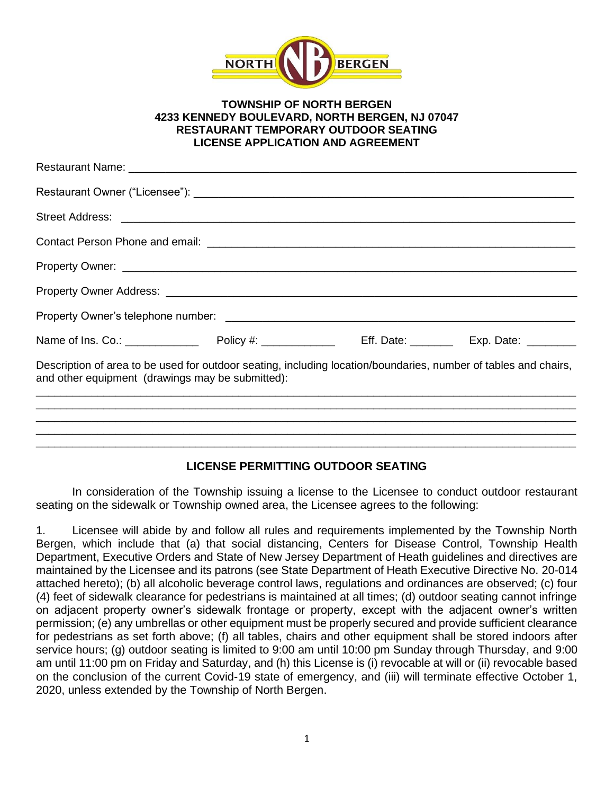

## **TOWNSHIP OF NORTH BERGEN 4233 KENNEDY BOULEVARD, NORTH BERGEN, NJ 07047 RESTAURANT TEMPORARY OUTDOOR SEATING LICENSE APPLICATION AND AGREEMENT**

| Description of area to be used for outdoor seating, including location/boundaries, number of tables and chairs,<br>and other equipment (drawings may be submitted): |  |  |  |  |  |
|---------------------------------------------------------------------------------------------------------------------------------------------------------------------|--|--|--|--|--|
|                                                                                                                                                                     |  |  |  |  |  |
|                                                                                                                                                                     |  |  |  |  |  |
|                                                                                                                                                                     |  |  |  |  |  |
|                                                                                                                                                                     |  |  |  |  |  |

## **LICENSE PERMITTING OUTDOOR SEATING**

In consideration of the Township issuing a license to the Licensee to conduct outdoor restaurant seating on the sidewalk or Township owned area, the Licensee agrees to the following:

1. Licensee will abide by and follow all rules and requirements implemented by the Township North Bergen, which include that (a) that social distancing, Centers for Disease Control, Township Health Department, Executive Orders and State of New Jersey Department of Heath guidelines and directives are maintained by the Licensee and its patrons (see State Department of Heath Executive Directive No. 20-014 attached hereto); (b) all alcoholic beverage control laws, regulations and ordinances are observed; (c) four (4) feet of sidewalk clearance for pedestrians is maintained at all times; (d) outdoor seating cannot infringe on adjacent property owner's sidewalk frontage or property, except with the adjacent owner's written permission; (e) any umbrellas or other equipment must be properly secured and provide sufficient clearance for pedestrians as set forth above; (f) all tables, chairs and other equipment shall be stored indoors after service hours; (g) outdoor seating is limited to 9:00 am until 10:00 pm Sunday through Thursday, and 9:00 am until 11:00 pm on Friday and Saturday, and (h) this License is (i) revocable at will or (ii) revocable based on the conclusion of the current Covid-19 state of emergency, and (iii) will terminate effective October 1, 2020, unless extended by the Township of North Bergen.